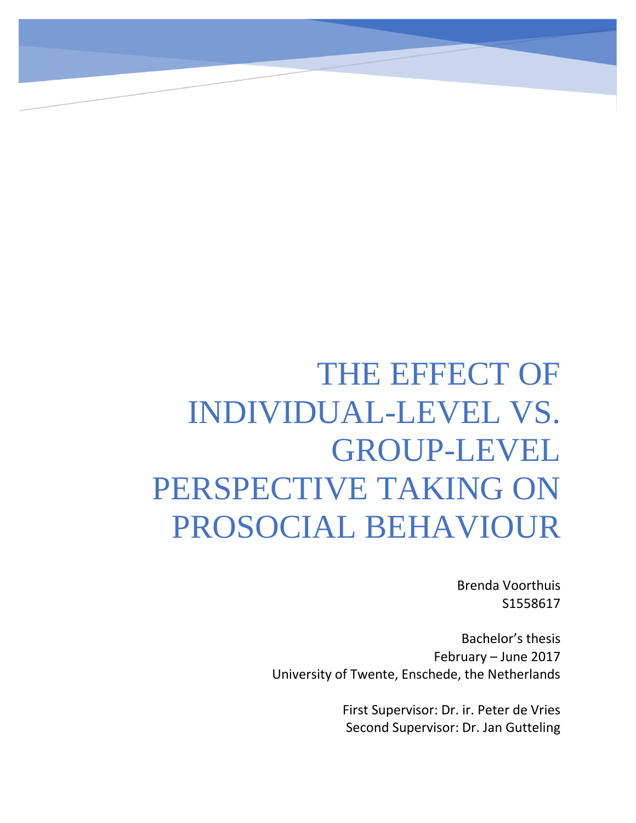# THE EFFECT OF INDIVIDUAL-LEVEL VS. GROUP-LEVEL PERSPECTIVE TAKING ON PROSOCIAL BEHAVIOUR

Brenda Voorthuis S1558617

Bachelor's thesis February – June 2017 University of Twente, Enschede, the Netherlands

> First Supervisor: Dr. ir. Peter de Vries Second Supervisor: Dr. Jan Gutteling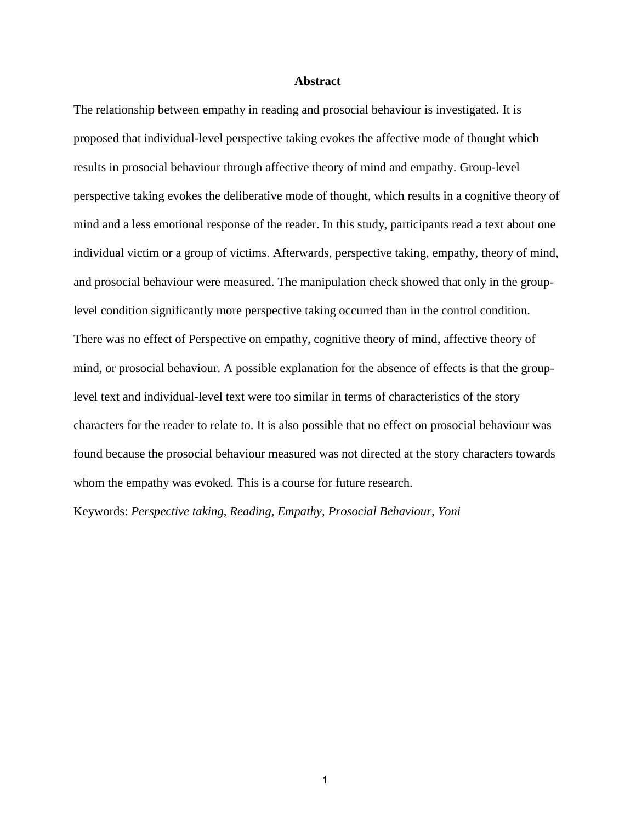#### **Abstract**

The relationship between empathy in reading and prosocial behaviour is investigated. It is proposed that individual-level perspective taking evokes the affective mode of thought which results in prosocial behaviour through affective theory of mind and empathy. Group-level perspective taking evokes the deliberative mode of thought, which results in a cognitive theory of mind and a less emotional response of the reader. In this study, participants read a text about one individual victim or a group of victims. Afterwards, perspective taking, empathy, theory of mind, and prosocial behaviour were measured. The manipulation check showed that only in the grouplevel condition significantly more perspective taking occurred than in the control condition. There was no effect of Perspective on empathy, cognitive theory of mind, affective theory of mind, or prosocial behaviour. A possible explanation for the absence of effects is that the grouplevel text and individual-level text were too similar in terms of characteristics of the story characters for the reader to relate to. It is also possible that no effect on prosocial behaviour was found because the prosocial behaviour measured was not directed at the story characters towards whom the empathy was evoked. This is a course for future research.

Keywords: *Perspective taking, Reading, Empathy, Prosocial Behaviour, Yoni*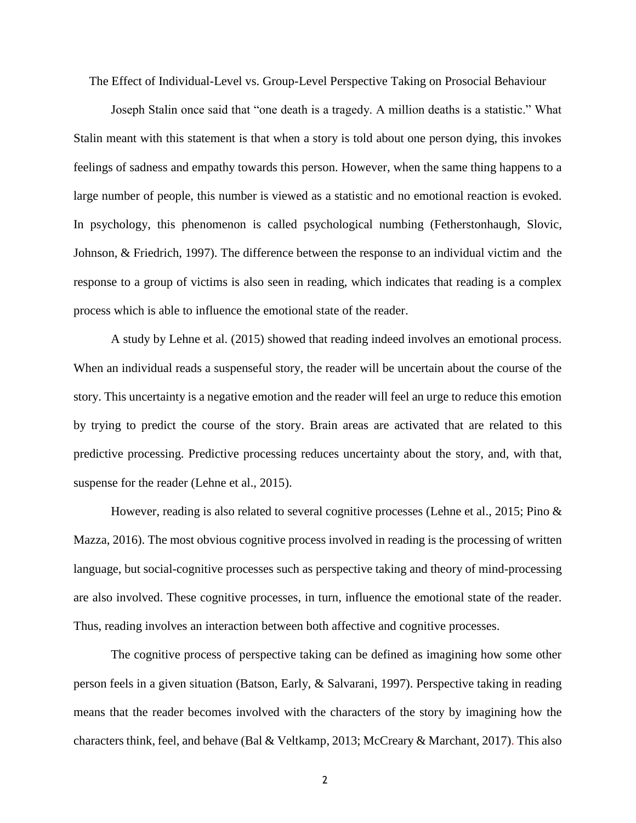The Effect of Individual-Level vs. Group-Level Perspective Taking on Prosocial Behaviour

Joseph Stalin once said that "one death is a tragedy. A million deaths is a statistic." What Stalin meant with this statement is that when a story is told about one person dying, this invokes feelings of sadness and empathy towards this person. However, when the same thing happens to a large number of people, this number is viewed as a statistic and no emotional reaction is evoked. In psychology, this phenomenon is called psychological numbing (Fetherstonhaugh, Slovic, Johnson, & Friedrich, 1997). The difference between the response to an individual victim and the response to a group of victims is also seen in reading, which indicates that reading is a complex process which is able to influence the emotional state of the reader.

A study by Lehne et al. (2015) showed that reading indeed involves an emotional process. When an individual reads a suspenseful story, the reader will be uncertain about the course of the story. This uncertainty is a negative emotion and the reader will feel an urge to reduce this emotion by trying to predict the course of the story. Brain areas are activated that are related to this predictive processing. Predictive processing reduces uncertainty about the story, and, with that, suspense for the reader (Lehne et al., 2015).

However, reading is also related to several cognitive processes (Lehne et al., 2015; Pino & Mazza, 2016). The most obvious cognitive process involved in reading is the processing of written language, but social-cognitive processes such as perspective taking and theory of mind-processing are also involved. These cognitive processes, in turn, influence the emotional state of the reader. Thus, reading involves an interaction between both affective and cognitive processes.

The cognitive process of perspective taking can be defined as imagining how some other person feels in a given situation (Batson, Early, & Salvarani, 1997). Perspective taking in reading means that the reader becomes involved with the characters of the story by imagining how the characters think, feel, and behave (Bal & Veltkamp, 2013; McCreary & Marchant, 2017). This also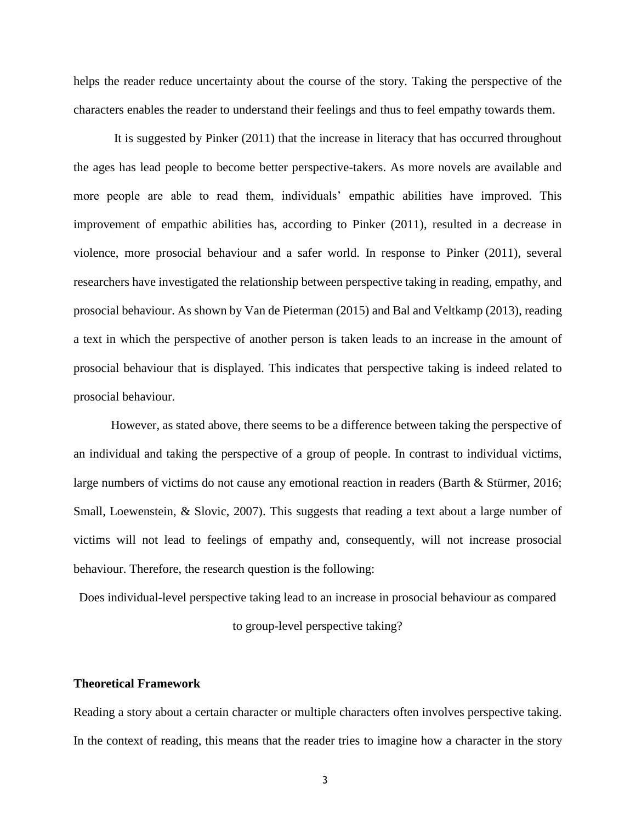helps the reader reduce uncertainty about the course of the story. Taking the perspective of the characters enables the reader to understand their feelings and thus to feel empathy towards them.

It is suggested by Pinker (2011) that the increase in literacy that has occurred throughout the ages has lead people to become better perspective-takers. As more novels are available and more people are able to read them, individuals' empathic abilities have improved. This improvement of empathic abilities has, according to Pinker (2011), resulted in a decrease in violence, more prosocial behaviour and a safer world. In response to Pinker (2011), several researchers have investigated the relationship between perspective taking in reading, empathy, and prosocial behaviour. As shown by Van de Pieterman (2015) and Bal and Veltkamp (2013), reading a text in which the perspective of another person is taken leads to an increase in the amount of prosocial behaviour that is displayed. This indicates that perspective taking is indeed related to prosocial behaviour.

However, as stated above, there seems to be a difference between taking the perspective of an individual and taking the perspective of a group of people. In contrast to individual victims, large numbers of victims do not cause any emotional reaction in readers (Barth & Stürmer, 2016; Small, Loewenstein, & Slovic, 2007). This suggests that reading a text about a large number of victims will not lead to feelings of empathy and, consequently, will not increase prosocial behaviour. Therefore, the research question is the following:

Does individual-level perspective taking lead to an increase in prosocial behaviour as compared

to group-level perspective taking?

#### **Theoretical Framework**

Reading a story about a certain character or multiple characters often involves perspective taking. In the context of reading, this means that the reader tries to imagine how a character in the story

3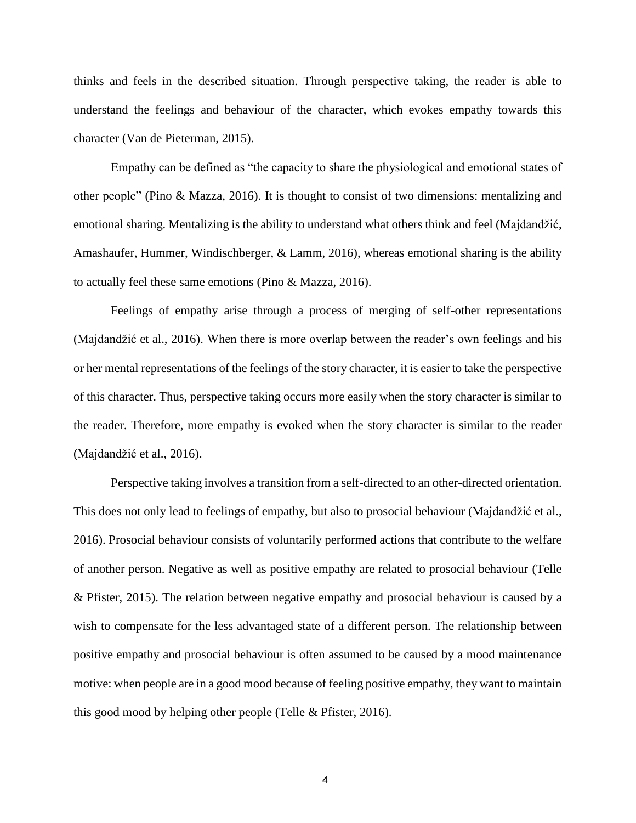thinks and feels in the described situation. Through perspective taking, the reader is able to understand the feelings and behaviour of the character, which evokes empathy towards this character (Van de Pieterman, 2015).

Empathy can be defined as "the capacity to share the physiological and emotional states of other people" (Pino & Mazza, 2016). It is thought to consist of two dimensions: mentalizing and emotional sharing. Mentalizing is the ability to understand what others think and feel (Majdandžić, Amashaufer, Hummer, Windischberger, & Lamm, 2016), whereas emotional sharing is the ability to actually feel these same emotions (Pino & Mazza, 2016).

Feelings of empathy arise through a process of merging of self-other representations (Majdandžić et al., 2016). When there is more overlap between the reader's own feelings and his or her mental representations of the feelings of the story character, it is easier to take the perspective of this character. Thus, perspective taking occurs more easily when the story character is similar to the reader. Therefore, more empathy is evoked when the story character is similar to the reader (Majdandžić et al., 2016).

Perspective taking involves a transition from a self-directed to an other-directed orientation. This does not only lead to feelings of empathy, but also to prosocial behaviour (Majdandžić et al., 2016). Prosocial behaviour consists of voluntarily performed actions that contribute to the welfare of another person. Negative as well as positive empathy are related to prosocial behaviour (Telle & Pfister, 2015). The relation between negative empathy and prosocial behaviour is caused by a wish to compensate for the less advantaged state of a different person. The relationship between positive empathy and prosocial behaviour is often assumed to be caused by a mood maintenance motive: when people are in a good mood because of feeling positive empathy, they want to maintain this good mood by helping other people (Telle & Pfister, 2016).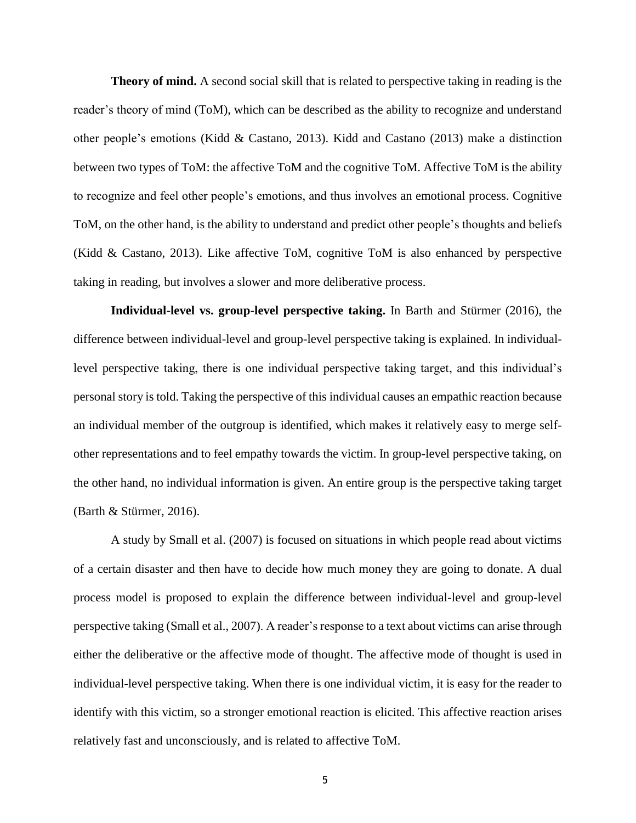**Theory of mind.** A second social skill that is related to perspective taking in reading is the reader's theory of mind (ToM), which can be described as the ability to recognize and understand other people's emotions (Kidd & Castano, 2013). Kidd and Castano (2013) make a distinction between two types of ToM: the affective ToM and the cognitive ToM. Affective ToM is the ability to recognize and feel other people's emotions, and thus involves an emotional process. Cognitive ToM, on the other hand, is the ability to understand and predict other people's thoughts and beliefs (Kidd & Castano, 2013). Like affective ToM, cognitive ToM is also enhanced by perspective taking in reading, but involves a slower and more deliberative process.

**Individual-level vs. group-level perspective taking.** In Barth and Stürmer (2016), the difference between individual-level and group-level perspective taking is explained. In individuallevel perspective taking, there is one individual perspective taking target, and this individual's personal story is told. Taking the perspective of this individual causes an empathic reaction because an individual member of the outgroup is identified, which makes it relatively easy to merge selfother representations and to feel empathy towards the victim. In group-level perspective taking, on the other hand, no individual information is given. An entire group is the perspective taking target (Barth & Stürmer, 2016).

A study by Small et al. (2007) is focused on situations in which people read about victims of a certain disaster and then have to decide how much money they are going to donate. A dual process model is proposed to explain the difference between individual-level and group-level perspective taking (Small et al., 2007). A reader's response to a text about victims can arise through either the deliberative or the affective mode of thought. The affective mode of thought is used in individual-level perspective taking. When there is one individual victim, it is easy for the reader to identify with this victim, so a stronger emotional reaction is elicited. This affective reaction arises relatively fast and unconsciously, and is related to affective ToM.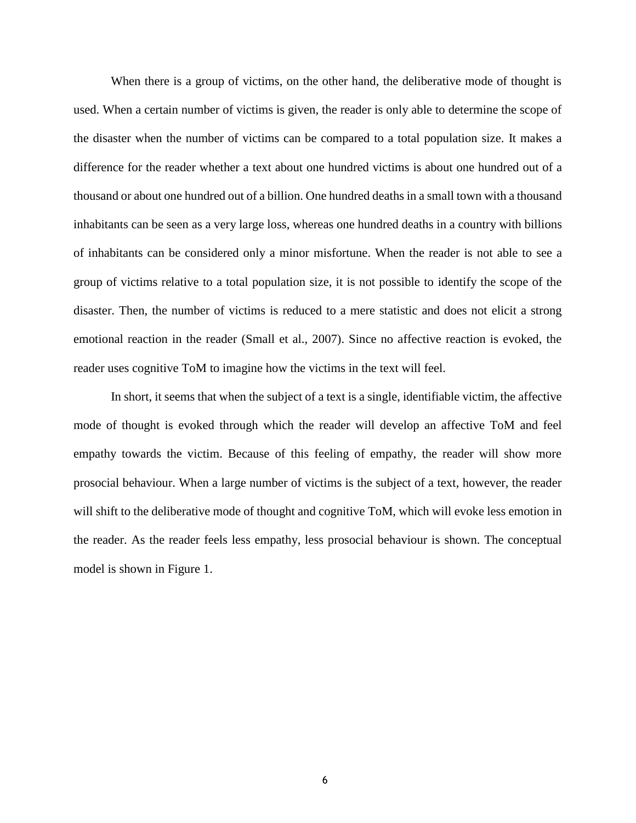When there is a group of victims, on the other hand, the deliberative mode of thought is used. When a certain number of victims is given, the reader is only able to determine the scope of the disaster when the number of victims can be compared to a total population size. It makes a difference for the reader whether a text about one hundred victims is about one hundred out of a thousand or about one hundred out of a billion. One hundred deaths in a small town with a thousand inhabitants can be seen as a very large loss, whereas one hundred deaths in a country with billions of inhabitants can be considered only a minor misfortune. When the reader is not able to see a group of victims relative to a total population size, it is not possible to identify the scope of the disaster. Then, the number of victims is reduced to a mere statistic and does not elicit a strong emotional reaction in the reader (Small et al., 2007). Since no affective reaction is evoked, the reader uses cognitive ToM to imagine how the victims in the text will feel.

In short, it seems that when the subject of a text is a single, identifiable victim, the affective mode of thought is evoked through which the reader will develop an affective ToM and feel empathy towards the victim. Because of this feeling of empathy, the reader will show more prosocial behaviour. When a large number of victims is the subject of a text, however, the reader will shift to the deliberative mode of thought and cognitive ToM, which will evoke less emotion in the reader. As the reader feels less empathy, less prosocial behaviour is shown. The conceptual model is shown in Figure 1.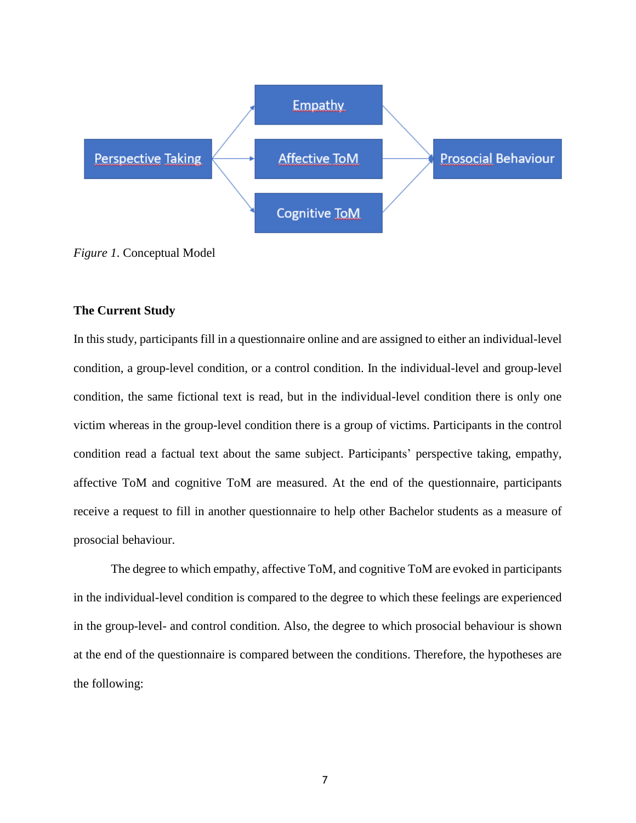

*Figure 1*. Conceptual Model

#### **The Current Study**

In this study, participants fill in a questionnaire online and are assigned to either an individual-level condition, a group-level condition, or a control condition. In the individual-level and group-level condition, the same fictional text is read, but in the individual-level condition there is only one victim whereas in the group-level condition there is a group of victims. Participants in the control condition read a factual text about the same subject. Participants' perspective taking, empathy, affective ToM and cognitive ToM are measured. At the end of the questionnaire, participants receive a request to fill in another questionnaire to help other Bachelor students as a measure of prosocial behaviour.

The degree to which empathy, affective ToM, and cognitive ToM are evoked in participants in the individual-level condition is compared to the degree to which these feelings are experienced in the group-level- and control condition. Also, the degree to which prosocial behaviour is shown at the end of the questionnaire is compared between the conditions. Therefore, the hypotheses are the following: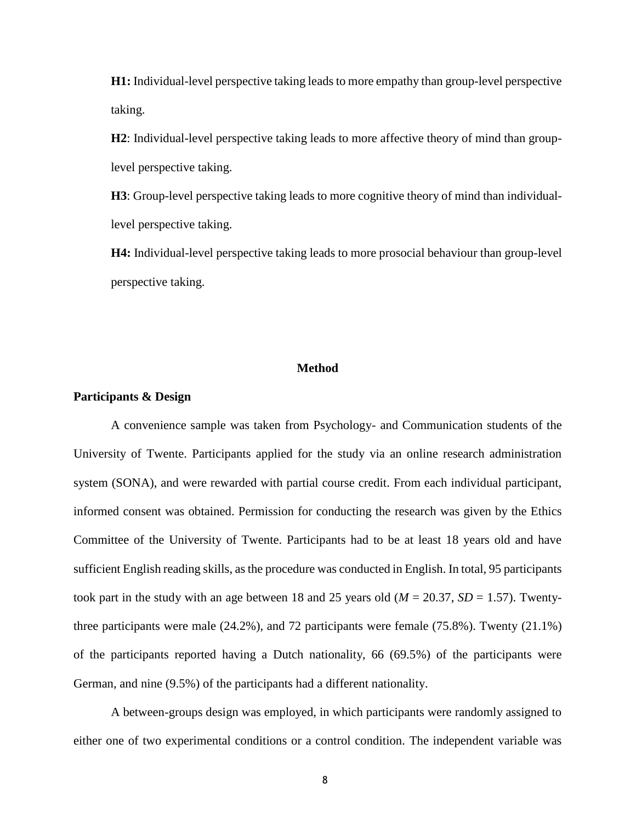**H1:** Individual-level perspective taking leads to more empathy than group-level perspective taking.

**H2**: Individual-level perspective taking leads to more affective theory of mind than grouplevel perspective taking.

**H3**: Group-level perspective taking leads to more cognitive theory of mind than individuallevel perspective taking.

**H4:** Individual-level perspective taking leads to more prosocial behaviour than group-level perspective taking.

#### **Method**

#### **Participants & Design**

A convenience sample was taken from Psychology- and Communication students of the University of Twente. Participants applied for the study via an online research administration system (SONA), and were rewarded with partial course credit. From each individual participant, informed consent was obtained. Permission for conducting the research was given by the Ethics Committee of the University of Twente. Participants had to be at least 18 years old and have sufficient English reading skills, as the procedure was conducted in English. In total, 95 participants took part in the study with an age between 18 and 25 years old ( $M = 20.37$ ,  $SD = 1.57$ ). Twentythree participants were male (24.2%), and 72 participants were female (75.8%). Twenty (21.1%) of the participants reported having a Dutch nationality, 66 (69.5%) of the participants were German, and nine (9.5%) of the participants had a different nationality.

A between-groups design was employed, in which participants were randomly assigned to either one of two experimental conditions or a control condition. The independent variable was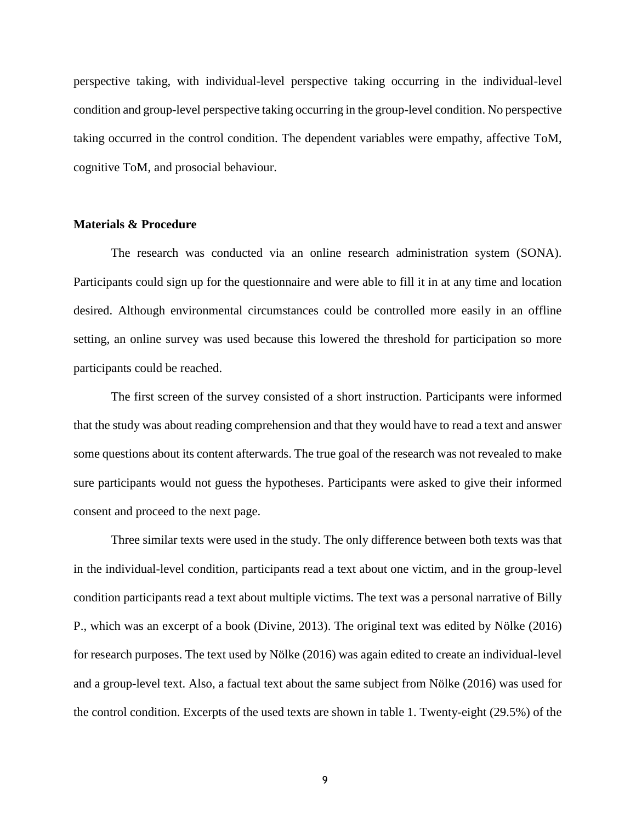perspective taking, with individual-level perspective taking occurring in the individual-level condition and group-level perspective taking occurring in the group-level condition. No perspective taking occurred in the control condition. The dependent variables were empathy, affective ToM, cognitive ToM, and prosocial behaviour.

#### **Materials & Procedure**

The research was conducted via an online research administration system (SONA). Participants could sign up for the questionnaire and were able to fill it in at any time and location desired. Although environmental circumstances could be controlled more easily in an offline setting, an online survey was used because this lowered the threshold for participation so more participants could be reached.

The first screen of the survey consisted of a short instruction. Participants were informed that the study was about reading comprehension and that they would have to read a text and answer some questions about its content afterwards. The true goal of the research was not revealed to make sure participants would not guess the hypotheses. Participants were asked to give their informed consent and proceed to the next page.

Three similar texts were used in the study. The only difference between both texts was that in the individual-level condition, participants read a text about one victim, and in the group-level condition participants read a text about multiple victims. The text was a personal narrative of Billy P., which was an excerpt of a book (Divine, 2013). The original text was edited by Nölke (2016) for research purposes. The text used by Nölke (2016) was again edited to create an individual-level and a group-level text. Also, a factual text about the same subject from Nölke (2016) was used for the control condition. Excerpts of the used texts are shown in table 1. Twenty-eight (29.5%) of the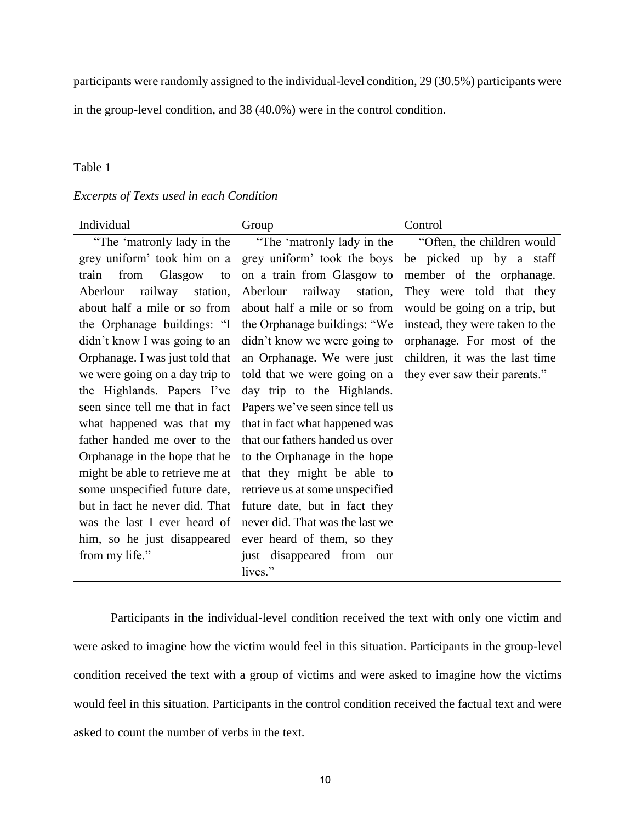participants were randomly assigned to the individual-level condition, 29 (30.5%) participants were

in the group-level condition, and 38 (40.0%) were in the control condition.

#### Table 1

#### *Excerpts of Texts used in each Condition*

| Individual                      | Group                           | Control                         |
|---------------------------------|---------------------------------|---------------------------------|
| "The 'matronly lady in the      | "The 'matronly lady in the      | "Often, the children would"     |
| grey uniform' took him on a     | grey uniform' took the boys     | be picked up by a staff         |
| Glasgow<br>from<br>train<br>to  | on a train from Glasgow to      | member of the orphanage.        |
| railway station,<br>Aberlour    | railway station,<br>Aberlour    | They were told that they        |
| about half a mile or so from    | about half a mile or so from    | would be going on a trip, but   |
| the Orphanage buildings: "I     | the Orphanage buildings: "We    | instead, they were taken to the |
| didn't know I was going to an   | didn't know we were going to    | orphanage. For most of the      |
| Orphanage. I was just told that | an Orphanage. We were just      | children, it was the last time  |
| we were going on a day trip to  | told that we were going on a    | they ever saw their parents."   |
| the Highlands. Papers I've      | day trip to the Highlands.      |                                 |
| seen since tell me that in fact | Papers we've seen since tell us |                                 |
| what happened was that my       | that in fact what happened was  |                                 |
| father handed me over to the    | that our fathers handed us over |                                 |
| Orphanage in the hope that he   | to the Orphanage in the hope    |                                 |
| might be able to retrieve me at | that they might be able to      |                                 |
| some unspecified future date,   | retrieve us at some unspecified |                                 |
| but in fact he never did. That  | future date, but in fact they   |                                 |
| was the last I ever heard of    | never did. That was the last we |                                 |
| him, so he just disappeared     | ever heard of them, so they     |                                 |
| from my life."                  | just disappeared from<br>our    |                                 |
|                                 | lives."                         |                                 |

Participants in the individual-level condition received the text with only one victim and were asked to imagine how the victim would feel in this situation. Participants in the group-level condition received the text with a group of victims and were asked to imagine how the victims would feel in this situation. Participants in the control condition received the factual text and were asked to count the number of verbs in the text.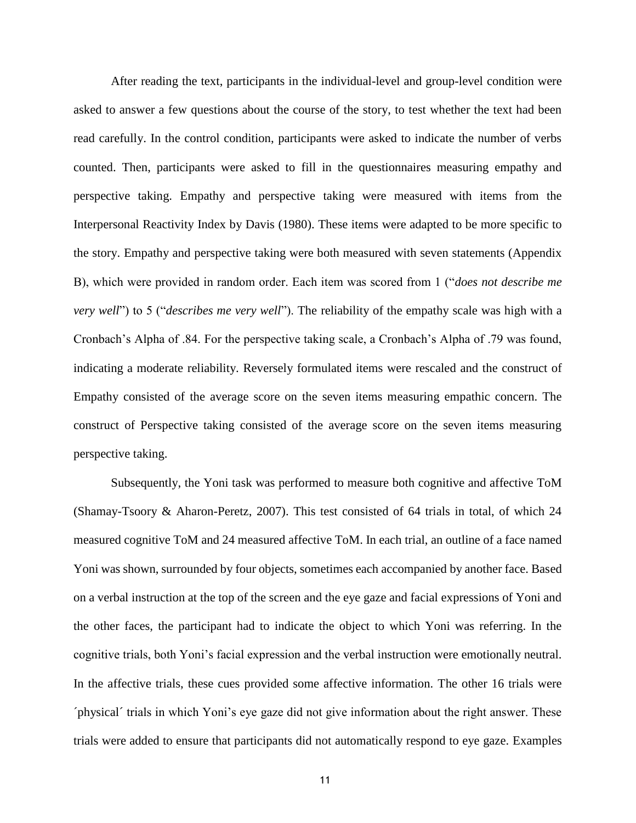After reading the text, participants in the individual-level and group-level condition were asked to answer a few questions about the course of the story, to test whether the text had been read carefully. In the control condition, participants were asked to indicate the number of verbs counted. Then, participants were asked to fill in the questionnaires measuring empathy and perspective taking. Empathy and perspective taking were measured with items from the Interpersonal Reactivity Index by Davis (1980). These items were adapted to be more specific to the story. Empathy and perspective taking were both measured with seven statements (Appendix B), which were provided in random order. Each item was scored from 1 ("*does not describe me very well*") to 5 ("*describes me very well*"). The reliability of the empathy scale was high with a Cronbach's Alpha of .84. For the perspective taking scale, a Cronbach's Alpha of .79 was found, indicating a moderate reliability. Reversely formulated items were rescaled and the construct of Empathy consisted of the average score on the seven items measuring empathic concern. The construct of Perspective taking consisted of the average score on the seven items measuring perspective taking.

Subsequently, the Yoni task was performed to measure both cognitive and affective ToM (Shamay-Tsoory & Aharon-Peretz, 2007). This test consisted of 64 trials in total, of which 24 measured cognitive ToM and 24 measured affective ToM. In each trial, an outline of a face named Yoni was shown, surrounded by four objects, sometimes each accompanied by another face. Based on a verbal instruction at the top of the screen and the eye gaze and facial expressions of Yoni and the other faces, the participant had to indicate the object to which Yoni was referring. In the cognitive trials, both Yoni's facial expression and the verbal instruction were emotionally neutral. In the affective trials, these cues provided some affective information. The other 16 trials were ´physical´ trials in which Yoni's eye gaze did not give information about the right answer. These trials were added to ensure that participants did not automatically respond to eye gaze. Examples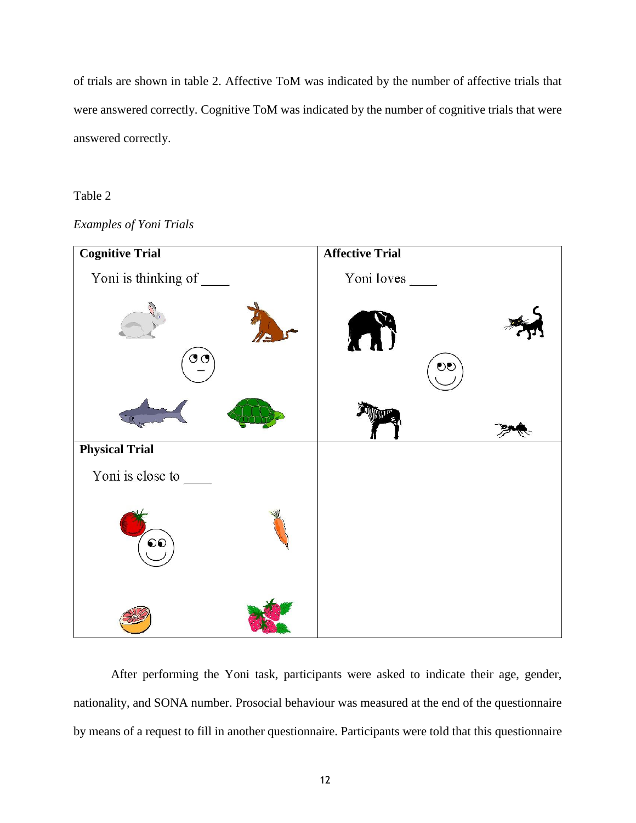of trials are shown in table 2. Affective ToM was indicated by the number of affective trials that were answered correctly. Cognitive ToM was indicated by the number of cognitive trials that were answered correctly.

#### Table 2





After performing the Yoni task, participants were asked to indicate their age, gender, nationality, and SONA number. Prosocial behaviour was measured at the end of the questionnaire by means of a request to fill in another questionnaire. Participants were told that this questionnaire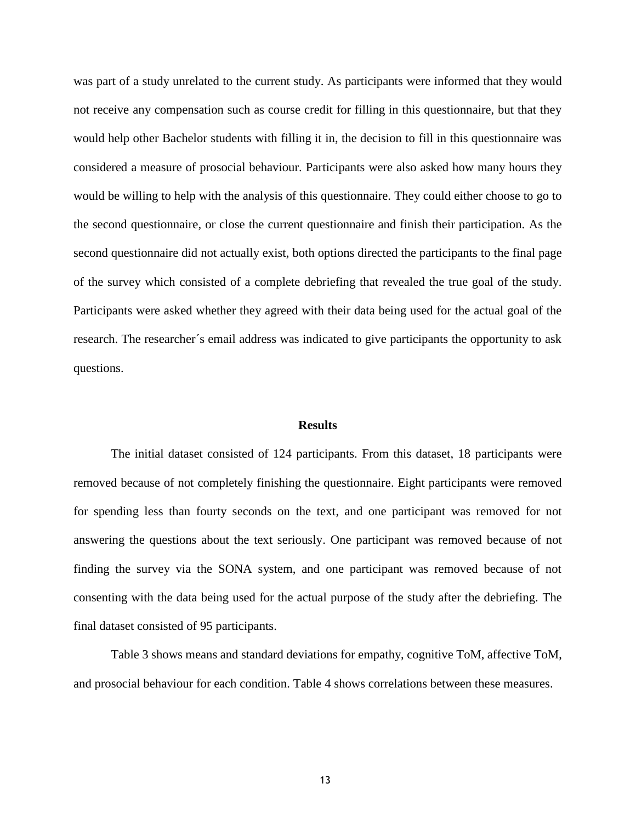was part of a study unrelated to the current study. As participants were informed that they would not receive any compensation such as course credit for filling in this questionnaire, but that they would help other Bachelor students with filling it in, the decision to fill in this questionnaire was considered a measure of prosocial behaviour. Participants were also asked how many hours they would be willing to help with the analysis of this questionnaire. They could either choose to go to the second questionnaire, or close the current questionnaire and finish their participation. As the second questionnaire did not actually exist, both options directed the participants to the final page of the survey which consisted of a complete debriefing that revealed the true goal of the study. Participants were asked whether they agreed with their data being used for the actual goal of the research. The researcher´s email address was indicated to give participants the opportunity to ask questions.

#### **Results**

The initial dataset consisted of 124 participants. From this dataset, 18 participants were removed because of not completely finishing the questionnaire. Eight participants were removed for spending less than fourty seconds on the text, and one participant was removed for not answering the questions about the text seriously. One participant was removed because of not finding the survey via the SONA system, and one participant was removed because of not consenting with the data being used for the actual purpose of the study after the debriefing. The final dataset consisted of 95 participants.

Table 3 shows means and standard deviations for empathy, cognitive ToM, affective ToM, and prosocial behaviour for each condition. Table 4 shows correlations between these measures.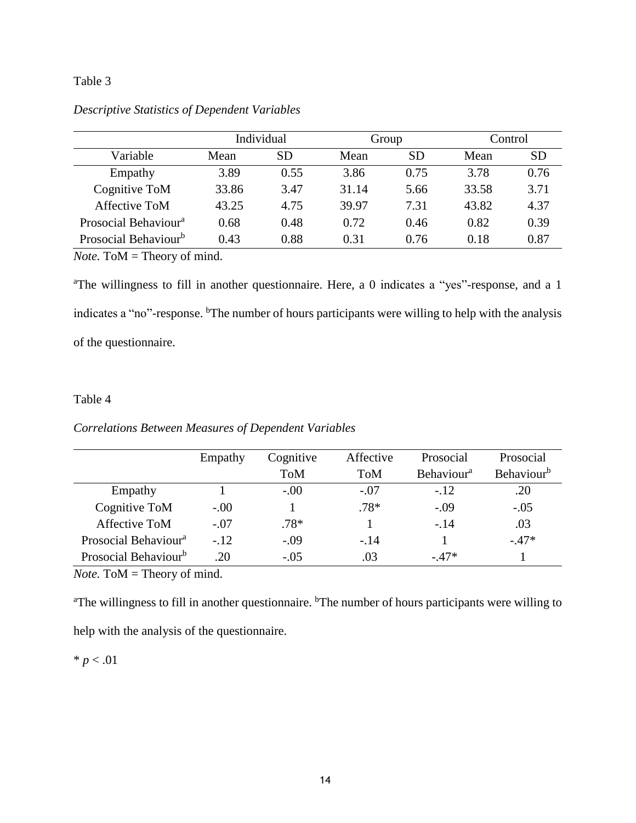#### Table 3

|                                  | Individual |           | Group |           | Control |           |
|----------------------------------|------------|-----------|-------|-----------|---------|-----------|
| Variable                         | Mean       | <b>SD</b> | Mean  | <b>SD</b> | Mean    | <b>SD</b> |
| Empathy                          | 3.89       | 0.55      | 3.86  | 0.75      | 3.78    | 0.76      |
| Cognitive ToM                    | 33.86      | 3.47      | 31.14 | 5.66      | 33.58   | 3.71      |
| Affective ToM                    | 43.25      | 4.75      | 39.97 | 7.31      | 43.82   | 4.37      |
| Prosocial Behaviour <sup>a</sup> | 0.68       | 0.48      | 0.72  | 0.46      | 0.82    | 0.39      |
| Prosocial Behaviour <sup>b</sup> | 0.43       | 0.88      | 0.31  | 0.76      | 0.18    | 0.87      |

*Descriptive Statistics of Dependent Variables*

*Note.* ToM = Theory of mind.

<sup>a</sup>The willingness to fill in another questionnaire. Here, a 0 indicates a "yes"-response, and a 1 indicates a "no"-response. <sup>b</sup>The number of hours participants were willing to help with the analysis of the questionnaire.

#### Table 4

#### *Correlations Between Measures of Dependent Variables*

|                                  | Empathy | Cognitive  | Affective  | Prosocial                     | Prosocial                     |
|----------------------------------|---------|------------|------------|-------------------------------|-------------------------------|
|                                  |         | <b>ToM</b> | <b>ToM</b> | <b>Behaviour</b> <sup>a</sup> | <b>Behaviour</b> <sup>b</sup> |
| Empathy                          |         | $-.00$     | $-.07$     | $-.12$                        | .20                           |
| Cognitive ToM                    | $-.00$  |            | $.78*$     | $-.09$                        | $-.05$                        |
| Affective ToM                    | $-.07$  | $.78*$     |            | $-14$                         | .03                           |
| Prosocial Behaviour <sup>a</sup> | $-.12$  | $-.09$     | $-.14$     |                               | $-.47*$                       |
| Prosocial Behaviour <sup>b</sup> | .20     | $-.05$     | .03        | $-47*$                        |                               |

*Note.* ToM = Theory of mind.

<sup>a</sup>The willingness to fill in another questionnaire. <sup>b</sup>The number of hours participants were willing to help with the analysis of the questionnaire.

 $* p < .01$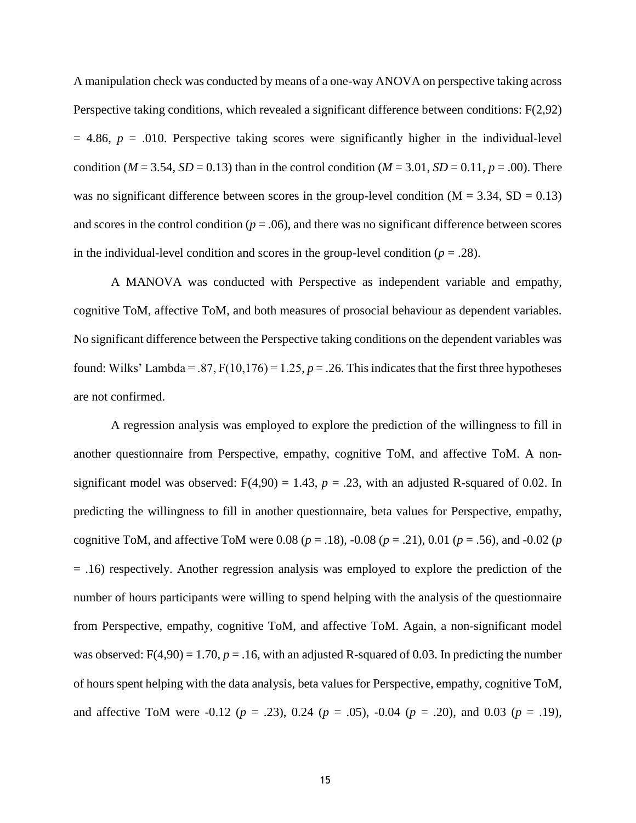A manipulation check was conducted by means of a one-way ANOVA on perspective taking across Perspective taking conditions, which revealed a significant difference between conditions: F(2,92)  $= 4.86$ ,  $p = .010$ . Perspective taking scores were significantly higher in the individual-level condition (*M* = 3.54, *SD* = 0.13) than in the control condition (*M* = 3.01, *SD* = 0.11, *p* = .00). There was no significant difference between scores in the group-level condition  $(M = 3.34, SD = 0.13)$ and scores in the control condition ( $p = .06$ ), and there was no significant difference between scores in the individual-level condition and scores in the group-level condition  $(p = .28)$ .

A MANOVA was conducted with Perspective as independent variable and empathy, cognitive ToM, affective ToM, and both measures of prosocial behaviour as dependent variables. No significant difference between the Perspective taking conditions on the dependent variables was found: Wilks' Lambda = .87,  $F(10,176) = 1.25$ ,  $p = .26$ . This indicates that the first three hypotheses are not confirmed.

A regression analysis was employed to explore the prediction of the willingness to fill in another questionnaire from Perspective, empathy, cognitive ToM, and affective ToM. A nonsignificant model was observed:  $F(4,90) = 1.43$ ,  $p = .23$ , with an adjusted R-squared of 0.02. In predicting the willingness to fill in another questionnaire, beta values for Perspective, empathy, cognitive ToM, and affective ToM were 0.08 (*p* = .18), -0.08 (*p* = .21), 0.01 (*p* = .56), and -0.02 (*p* = .16) respectively. Another regression analysis was employed to explore the prediction of the number of hours participants were willing to spend helping with the analysis of the questionnaire from Perspective, empathy, cognitive ToM, and affective ToM. Again, a non-significant model was observed:  $F(4,90) = 1.70$ ,  $p = .16$ , with an adjusted R-squared of 0.03. In predicting the number of hours spent helping with the data analysis, beta values for Perspective, empathy, cognitive ToM, and affective ToM were -0.12 (*p* = .23), 0.24 (*p* = .05), -0.04 (*p* = .20), and 0.03 (*p* = .19),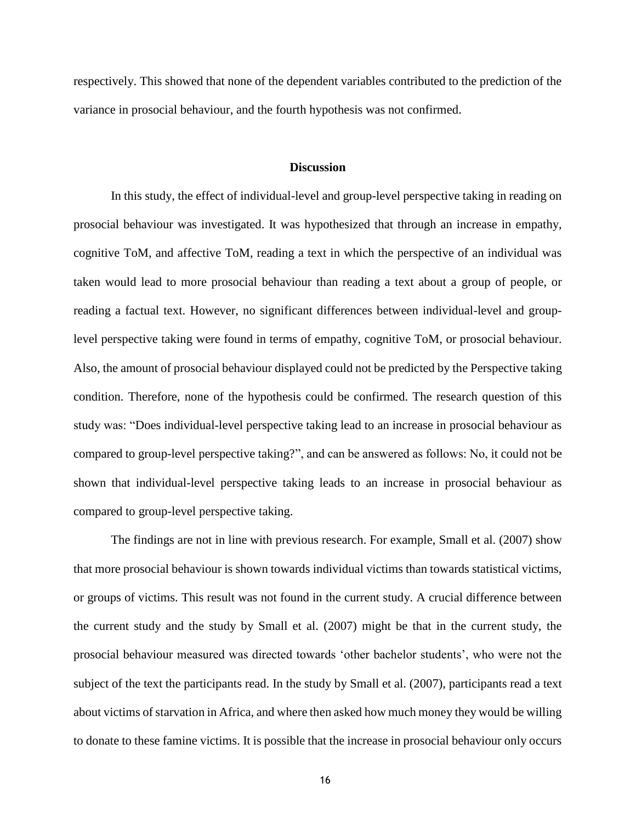respectively. This showed that none of the dependent variables contributed to the prediction of the variance in prosocial behaviour, and the fourth hypothesis was not confirmed.

#### **Discussion**

In this study, the effect of individual-level and group-level perspective taking in reading on prosocial behaviour was investigated. It was hypothesized that through an increase in empathy, cognitive ToM, and affective ToM, reading a text in which the perspective of an individual was taken would lead to more prosocial behaviour than reading a text about a group of people, or reading a factual text. However, no significant differences between individual-level and grouplevel perspective taking were found in terms of empathy, cognitive ToM, or prosocial behaviour. Also, the amount of prosocial behaviour displayed could not be predicted by the Perspective taking condition. Therefore, none of the hypothesis could be confirmed. The research question of this study was: "Does individual-level perspective taking lead to an increase in prosocial behaviour as compared to group-level perspective taking?", and can be answered as follows: No, it could not be shown that individual-level perspective taking leads to an increase in prosocial behaviour as compared to group-level perspective taking.

The findings are not in line with previous research. For example, Small et al. (2007) show that more prosocial behaviour is shown towards individual victims than towards statistical victims, or groups of victims. This result was not found in the current study. A crucial difference between the current study and the study by Small et al. (2007) might be that in the current study, the prosocial behaviour measured was directed towards 'other bachelor students', who were not the subject of the text the participants read. In the study by Small et al. (2007), participants read a text about victims of starvation in Africa, and where then asked how much money they would be willing to donate to these famine victims. It is possible that the increase in prosocial behaviour only occurs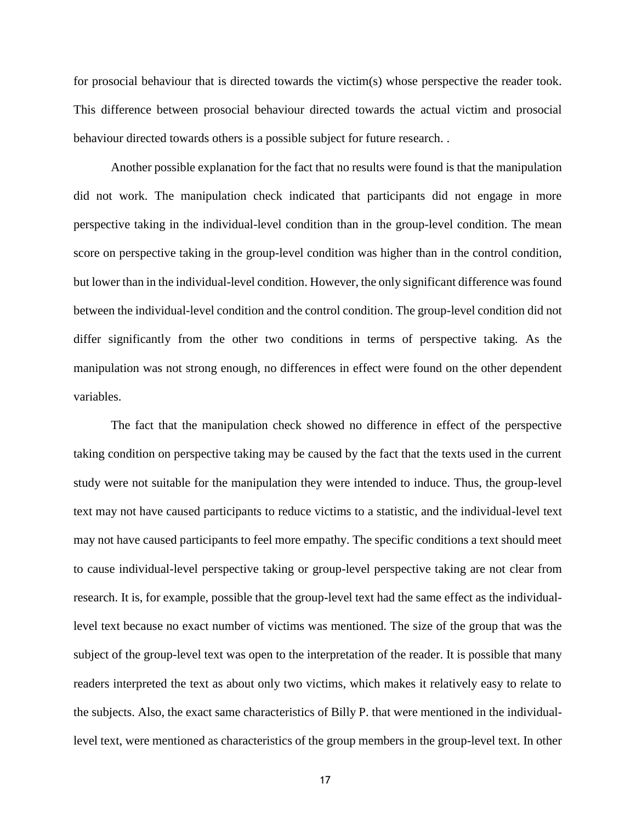for prosocial behaviour that is directed towards the victim(s) whose perspective the reader took. This difference between prosocial behaviour directed towards the actual victim and prosocial behaviour directed towards others is a possible subject for future research. .

Another possible explanation for the fact that no results were found is that the manipulation did not work. The manipulation check indicated that participants did not engage in more perspective taking in the individual-level condition than in the group-level condition. The mean score on perspective taking in the group-level condition was higher than in the control condition, but lower than in the individual-level condition. However, the only significant difference was found between the individual-level condition and the control condition. The group-level condition did not differ significantly from the other two conditions in terms of perspective taking. As the manipulation was not strong enough, no differences in effect were found on the other dependent variables.

The fact that the manipulation check showed no difference in effect of the perspective taking condition on perspective taking may be caused by the fact that the texts used in the current study were not suitable for the manipulation they were intended to induce. Thus, the group-level text may not have caused participants to reduce victims to a statistic, and the individual-level text may not have caused participants to feel more empathy. The specific conditions a text should meet to cause individual-level perspective taking or group-level perspective taking are not clear from research. It is, for example, possible that the group-level text had the same effect as the individuallevel text because no exact number of victims was mentioned. The size of the group that was the subject of the group-level text was open to the interpretation of the reader. It is possible that many readers interpreted the text as about only two victims, which makes it relatively easy to relate to the subjects. Also, the exact same characteristics of Billy P. that were mentioned in the individuallevel text, were mentioned as characteristics of the group members in the group-level text. In other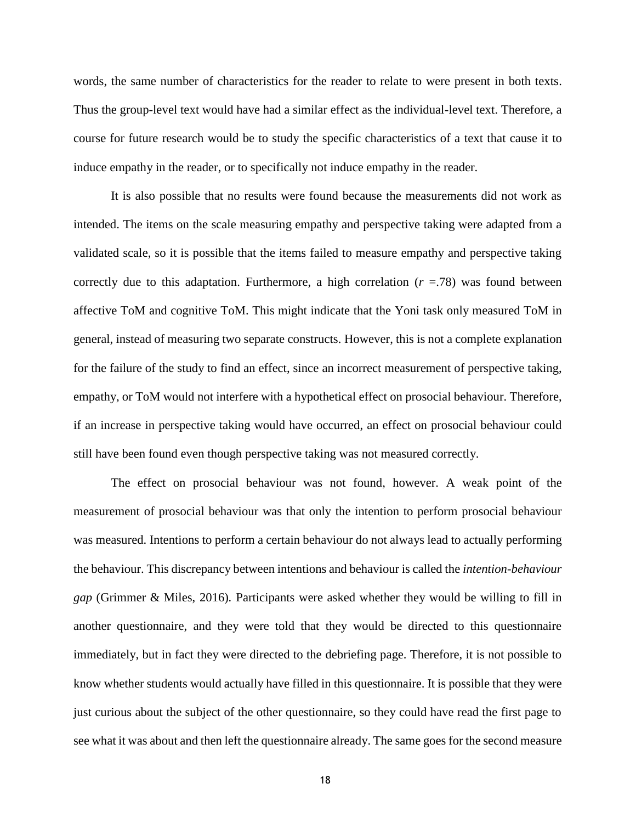words, the same number of characteristics for the reader to relate to were present in both texts. Thus the group-level text would have had a similar effect as the individual-level text. Therefore, a course for future research would be to study the specific characteristics of a text that cause it to induce empathy in the reader, or to specifically not induce empathy in the reader.

It is also possible that no results were found because the measurements did not work as intended. The items on the scale measuring empathy and perspective taking were adapted from a validated scale, so it is possible that the items failed to measure empathy and perspective taking correctly due to this adaptation. Furthermore, a high correlation  $(r = .78)$  was found between affective ToM and cognitive ToM. This might indicate that the Yoni task only measured ToM in general, instead of measuring two separate constructs. However, this is not a complete explanation for the failure of the study to find an effect, since an incorrect measurement of perspective taking, empathy, or ToM would not interfere with a hypothetical effect on prosocial behaviour. Therefore, if an increase in perspective taking would have occurred, an effect on prosocial behaviour could still have been found even though perspective taking was not measured correctly.

The effect on prosocial behaviour was not found, however. A weak point of the measurement of prosocial behaviour was that only the intention to perform prosocial behaviour was measured. Intentions to perform a certain behaviour do not always lead to actually performing the behaviour. This discrepancy between intentions and behaviour is called the *intention-behaviour gap* (Grimmer & Miles, 2016)*.* Participants were asked whether they would be willing to fill in another questionnaire, and they were told that they would be directed to this questionnaire immediately, but in fact they were directed to the debriefing page. Therefore, it is not possible to know whether students would actually have filled in this questionnaire. It is possible that they were just curious about the subject of the other questionnaire, so they could have read the first page to see what it was about and then left the questionnaire already. The same goes for the second measure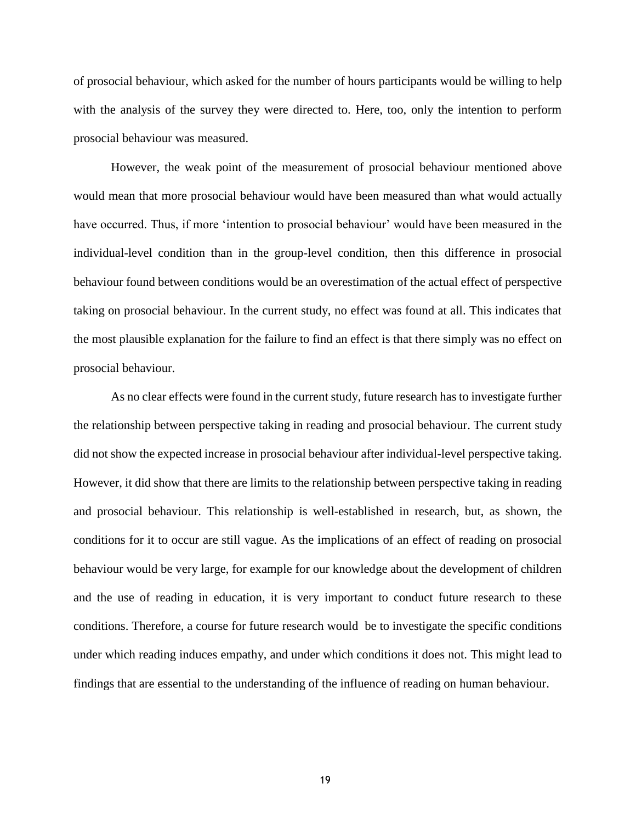of prosocial behaviour, which asked for the number of hours participants would be willing to help with the analysis of the survey they were directed to. Here, too, only the intention to perform prosocial behaviour was measured.

However, the weak point of the measurement of prosocial behaviour mentioned above would mean that more prosocial behaviour would have been measured than what would actually have occurred. Thus, if more 'intention to prosocial behaviour' would have been measured in the individual-level condition than in the group-level condition, then this difference in prosocial behaviour found between conditions would be an overestimation of the actual effect of perspective taking on prosocial behaviour. In the current study, no effect was found at all. This indicates that the most plausible explanation for the failure to find an effect is that there simply was no effect on prosocial behaviour.

As no clear effects were found in the current study, future research has to investigate further the relationship between perspective taking in reading and prosocial behaviour. The current study did not show the expected increase in prosocial behaviour after individual-level perspective taking. However, it did show that there are limits to the relationship between perspective taking in reading and prosocial behaviour. This relationship is well-established in research, but, as shown, the conditions for it to occur are still vague. As the implications of an effect of reading on prosocial behaviour would be very large, for example for our knowledge about the development of children and the use of reading in education, it is very important to conduct future research to these conditions. Therefore, a course for future research would be to investigate the specific conditions under which reading induces empathy, and under which conditions it does not. This might lead to findings that are essential to the understanding of the influence of reading on human behaviour.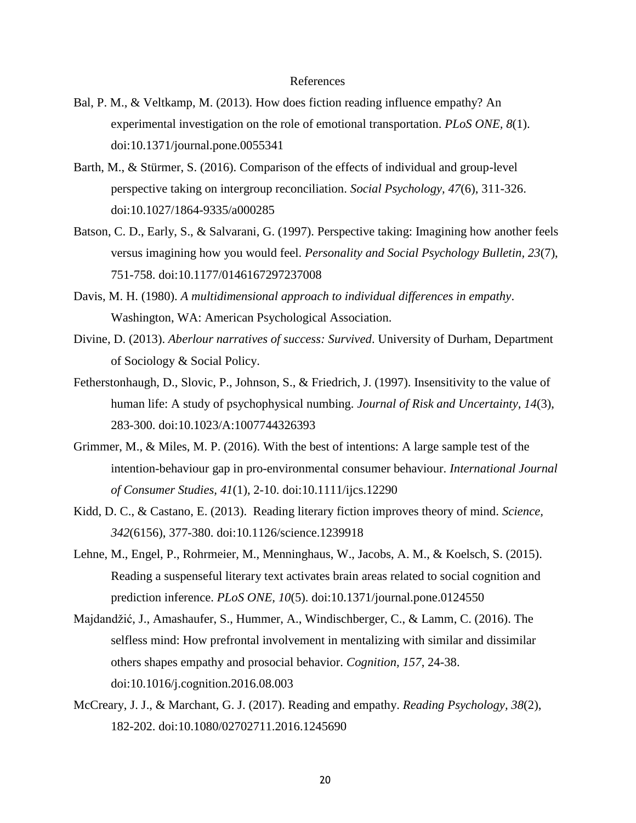#### References

- Bal, P. M., & Veltkamp, M. (2013). How does fiction reading influence empathy? An experimental investigation on the role of emotional transportation. *PLoS ONE, 8*(1). doi:10.1371/journal.pone.0055341
- Barth, M., & Stürmer, S. (2016). Comparison of the effects of individual and group-level perspective taking on intergroup reconciliation. *Social Psychology, 47*(6), 311-326. doi:10.1027/1864-9335/a000285
- Batson, C. D., Early, S., & Salvarani, G. (1997). Perspective taking: Imagining how another feels versus imagining how you would feel. *Personality and Social Psychology Bulletin, 23*(7), 751-758. doi:10.1177/0146167297237008
- Davis, M. H. (1980). *A multidimensional approach to individual differences in empathy*. Washington, WA: American Psychological Association.
- Divine, D. (2013). *Aberlour narratives of success: Survived*. University of Durham, Department of Sociology & Social Policy.
- Fetherstonhaugh, D., Slovic, P., Johnson, S., & Friedrich, J. (1997). Insensitivity to the value of human life: A study of psychophysical numbing. *Journal of Risk and Uncertainty, 14*(3), 283-300. doi:10.1023/A:1007744326393
- Grimmer, M., & Miles, M. P. (2016). With the best of intentions: A large sample test of the intention-behaviour gap in pro-environmental consumer behaviour. *International Journal of Consumer Studies, 41*(1), 2-10. doi:10.1111/ijcs.12290
- Kidd, D. C., & Castano, E. (2013). Reading literary fiction improves theory of mind. *Science, 342*(6156), 377-380. doi:10.1126/science.1239918
- Lehne, M., Engel, P., Rohrmeier, M., Menninghaus, W., Jacobs, A. M., & Koelsch, S. (2015). Reading a suspenseful literary text activates brain areas related to social cognition and prediction inference. *PLoS ONE, 10*(5). doi:10.1371/journal.pone.0124550
- Majdandžić, J., Amashaufer, S., Hummer, A., Windischberger, C., & Lamm, C. (2016). The selfless mind: How prefrontal involvement in mentalizing with similar and dissimilar others shapes empathy and prosocial behavior. *Cognition, 157*, 24-38. doi:10.1016/j.cognition.2016.08.003
- McCreary, J. J., & Marchant, G. J. (2017). Reading and empathy. *Reading Psychology, 38*(2), 182-202. doi:10.1080/02702711.2016.1245690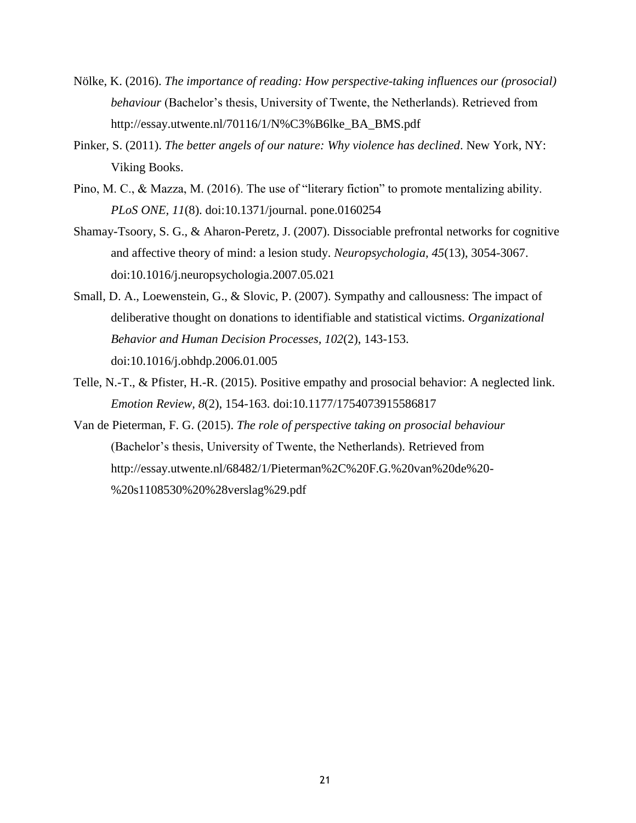- Nölke, K. (2016). *The importance of reading: How perspective-taking influences our (prosocial) behaviour* (Bachelor's thesis, University of Twente, the Netherlands). Retrieved from http://essay.utwente.nl/70116/1/N%C3%B6lke\_BA\_BMS.pdf
- Pinker, S. (2011). *The better angels of our nature: Why violence has declined*. New York, NY: Viking Books.
- Pino, M. C., & Mazza, M. (2016). The use of "literary fiction" to promote mentalizing ability. *PLoS ONE, 11*(8). doi:10.1371/journal. pone.0160254
- Shamay-Tsoory, S. G., & Aharon-Peretz, J. (2007). Dissociable prefrontal networks for cognitive and affective theory of mind: a lesion study. *Neuropsychologia, 45*(13), 3054-3067. doi:10.1016/j.neuropsychologia.2007.05.021
- Small, D. A., Loewenstein, G., & Slovic, P. (2007). Sympathy and callousness: The impact of deliberative thought on donations to identifiable and statistical victims. *Organizational Behavior and Human Decision Processes, 102*(2), 143-153. doi:10.1016/j.obhdp.2006.01.005
- Telle, N.-T., & Pfister, H.-R. (2015). Positive empathy and prosocial behavior: A neglected link. *Emotion Review, 8*(2), 154-163. doi:10.1177/1754073915586817
- Van de Pieterman, F. G. (2015). *The role of perspective taking on prosocial behaviour* (Bachelor's thesis, University of Twente, the Netherlands)*.* Retrieved from http://essay.utwente.nl/68482/1/Pieterman%2C%20F.G.%20van%20de%20- %20s1108530%20%28verslag%29.pdf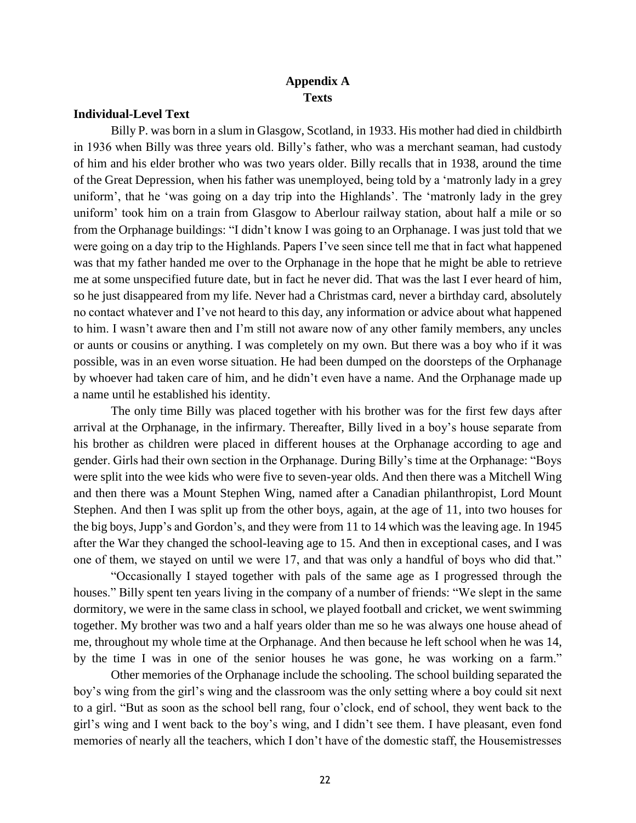## **Appendix A Texts**

#### **Individual-Level Text**

Billy P. was born in a slum in Glasgow, Scotland, in 1933. His mother had died in childbirth in 1936 when Billy was three years old. Billy's father, who was a merchant seaman, had custody of him and his elder brother who was two years older. Billy recalls that in 1938, around the time of the Great Depression, when his father was unemployed, being told by a 'matronly lady in a grey uniform', that he 'was going on a day trip into the Highlands'. The 'matronly lady in the grey uniform' took him on a train from Glasgow to Aberlour railway station, about half a mile or so from the Orphanage buildings: "I didn't know I was going to an Orphanage. I was just told that we were going on a day trip to the Highlands. Papers I've seen since tell me that in fact what happened was that my father handed me over to the Orphanage in the hope that he might be able to retrieve me at some unspecified future date, but in fact he never did. That was the last I ever heard of him, so he just disappeared from my life. Never had a Christmas card, never a birthday card, absolutely no contact whatever and I've not heard to this day, any information or advice about what happened to him. I wasn't aware then and I'm still not aware now of any other family members, any uncles or aunts or cousins or anything. I was completely on my own. But there was a boy who if it was possible, was in an even worse situation. He had been dumped on the doorsteps of the Orphanage by whoever had taken care of him, and he didn't even have a name. And the Orphanage made up a name until he established his identity.

The only time Billy was placed together with his brother was for the first few days after arrival at the Orphanage, in the infirmary. Thereafter, Billy lived in a boy's house separate from his brother as children were placed in different houses at the Orphanage according to age and gender. Girls had their own section in the Orphanage. During Billy's time at the Orphanage: "Boys were split into the wee kids who were five to seven-year olds. And then there was a Mitchell Wing and then there was a Mount Stephen Wing, named after a Canadian philanthropist, Lord Mount Stephen. And then I was split up from the other boys, again, at the age of 11, into two houses for the big boys, Jupp's and Gordon's, and they were from 11 to 14 which was the leaving age. In 1945 after the War they changed the school-leaving age to 15. And then in exceptional cases, and I was one of them, we stayed on until we were 17, and that was only a handful of boys who did that."

"Occasionally I stayed together with pals of the same age as I progressed through the houses." Billy spent ten years living in the company of a number of friends: "We slept in the same dormitory, we were in the same class in school, we played football and cricket, we went swimming together. My brother was two and a half years older than me so he was always one house ahead of me, throughout my whole time at the Orphanage. And then because he left school when he was 14, by the time I was in one of the senior houses he was gone, he was working on a farm."

Other memories of the Orphanage include the schooling. The school building separated the boy's wing from the girl's wing and the classroom was the only setting where a boy could sit next to a girl. "But as soon as the school bell rang, four o'clock, end of school, they went back to the girl's wing and I went back to the boy's wing, and I didn't see them. I have pleasant, even fond memories of nearly all the teachers, which I don't have of the domestic staff, the Housemistresses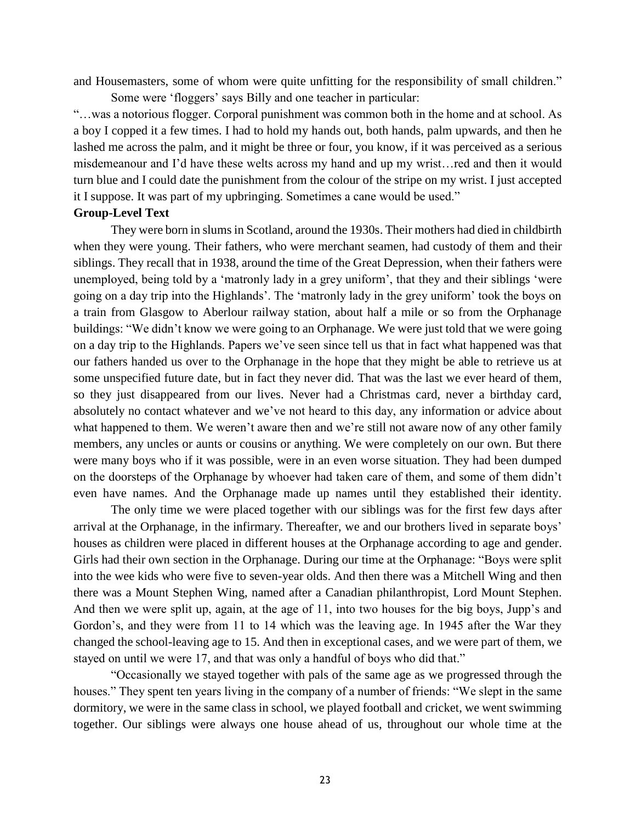and Housemasters, some of whom were quite unfitting for the responsibility of small children."

Some were 'floggers' says Billy and one teacher in particular: "…was a notorious flogger. Corporal punishment was common both in the home and at school. As a boy I copped it a few times. I had to hold my hands out, both hands, palm upwards, and then he lashed me across the palm, and it might be three or four, you know, if it was perceived as a serious misdemeanour and I'd have these welts across my hand and up my wrist…red and then it would turn blue and I could date the punishment from the colour of the stripe on my wrist. I just accepted it I suppose. It was part of my upbringing. Sometimes a cane would be used."

#### **Group-Level Text**

They were born in slums in Scotland, around the 1930s. Their mothers had died in childbirth when they were young. Their fathers, who were merchant seamen, had custody of them and their siblings. They recall that in 1938, around the time of the Great Depression, when their fathers were unemployed, being told by a 'matronly lady in a grey uniform', that they and their siblings 'were going on a day trip into the Highlands'. The 'matronly lady in the grey uniform' took the boys on a train from Glasgow to Aberlour railway station, about half a mile or so from the Orphanage buildings: "We didn't know we were going to an Orphanage. We were just told that we were going on a day trip to the Highlands. Papers we've seen since tell us that in fact what happened was that our fathers handed us over to the Orphanage in the hope that they might be able to retrieve us at some unspecified future date, but in fact they never did. That was the last we ever heard of them, so they just disappeared from our lives. Never had a Christmas card, never a birthday card, absolutely no contact whatever and we've not heard to this day, any information or advice about what happened to them. We weren't aware then and we're still not aware now of any other family members, any uncles or aunts or cousins or anything. We were completely on our own. But there were many boys who if it was possible, were in an even worse situation. They had been dumped on the doorsteps of the Orphanage by whoever had taken care of them, and some of them didn't even have names. And the Orphanage made up names until they established their identity.

The only time we were placed together with our siblings was for the first few days after arrival at the Orphanage, in the infirmary. Thereafter, we and our brothers lived in separate boys' houses as children were placed in different houses at the Orphanage according to age and gender. Girls had their own section in the Orphanage. During our time at the Orphanage: "Boys were split into the wee kids who were five to seven-year olds. And then there was a Mitchell Wing and then there was a Mount Stephen Wing, named after a Canadian philanthropist, Lord Mount Stephen. And then we were split up, again, at the age of 11, into two houses for the big boys, Jupp's and Gordon's, and they were from 11 to 14 which was the leaving age. In 1945 after the War they changed the school-leaving age to 15. And then in exceptional cases, and we were part of them, we stayed on until we were 17, and that was only a handful of boys who did that."

"Occasionally we stayed together with pals of the same age as we progressed through the houses." They spent ten years living in the company of a number of friends: "We slept in the same dormitory, we were in the same class in school, we played football and cricket, we went swimming together. Our siblings were always one house ahead of us, throughout our whole time at the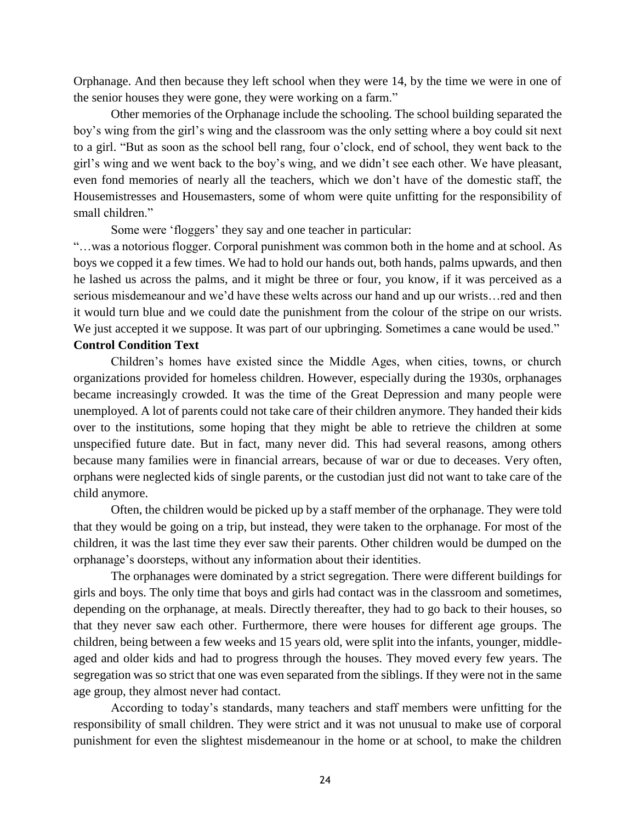Orphanage. And then because they left school when they were 14, by the time we were in one of the senior houses they were gone, they were working on a farm."

Other memories of the Orphanage include the schooling. The school building separated the boy's wing from the girl's wing and the classroom was the only setting where a boy could sit next to a girl. "But as soon as the school bell rang, four o'clock, end of school, they went back to the girl's wing and we went back to the boy's wing, and we didn't see each other. We have pleasant, even fond memories of nearly all the teachers, which we don't have of the domestic staff, the Housemistresses and Housemasters, some of whom were quite unfitting for the responsibility of small children."

Some were 'floggers' they say and one teacher in particular:

"…was a notorious flogger. Corporal punishment was common both in the home and at school. As boys we copped it a few times. We had to hold our hands out, both hands, palms upwards, and then he lashed us across the palms, and it might be three or four, you know, if it was perceived as a serious misdemeanour and we'd have these welts across our hand and up our wrists…red and then it would turn blue and we could date the punishment from the colour of the stripe on our wrists. We just accepted it we suppose. It was part of our upbringing. Sometimes a cane would be used." **Control Condition Text**

Children's homes have existed since the Middle Ages, when cities, towns, or church organizations provided for homeless children. However, especially during the 1930s, orphanages became increasingly crowded. It was the time of the Great Depression and many people were unemployed. A lot of parents could not take care of their children anymore. They handed their kids over to the institutions, some hoping that they might be able to retrieve the children at some unspecified future date. But in fact, many never did. This had several reasons, among others because many families were in financial arrears, because of war or due to deceases. Very often, orphans were neglected kids of single parents, or the custodian just did not want to take care of the child anymore.

Often, the children would be picked up by a staff member of the orphanage. They were told that they would be going on a trip, but instead, they were taken to the orphanage. For most of the children, it was the last time they ever saw their parents. Other children would be dumped on the orphanage's doorsteps, without any information about their identities.

The orphanages were dominated by a strict segregation. There were different buildings for girls and boys. The only time that boys and girls had contact was in the classroom and sometimes, depending on the orphanage, at meals. Directly thereafter, they had to go back to their houses, so that they never saw each other. Furthermore, there were houses for different age groups. The children, being between a few weeks and 15 years old, were split into the infants, younger, middleaged and older kids and had to progress through the houses. They moved every few years. The segregation was so strict that one was even separated from the siblings. If they were not in the same age group, they almost never had contact.

According to today's standards, many teachers and staff members were unfitting for the responsibility of small children. They were strict and it was not unusual to make use of corporal punishment for even the slightest misdemeanour in the home or at school, to make the children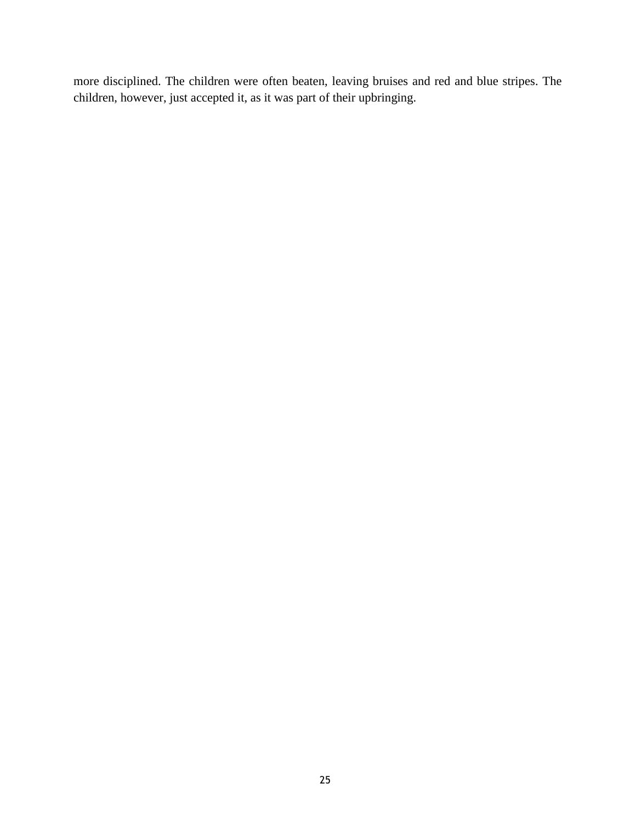more disciplined. The children were often beaten, leaving bruises and red and blue stripes. The children, however, just accepted it, as it was part of their upbringing.